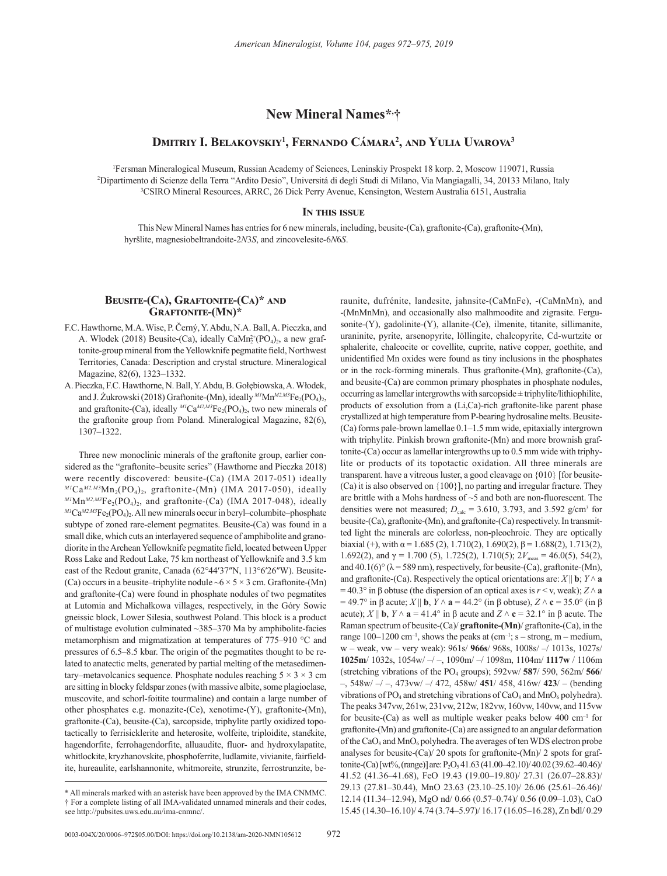# **New Mineral Names\*, †**

## **Dmitriy I. Belakovskiy<sup>1</sup> , Fernando Cámara<sup>2</sup> , and Yulia Uvarova<sup>3</sup>**

<sup>1</sup> Fersman Mineralogical Museum, Russian Academy of Sciences, Leninskiy Prospekt 18 korp. 2, Moscow 119071, Russia<br><sup>2</sup> Dinartimento di Scienze della Terra "Ardito Desio". Università di degli Studi di Milano, Via Mangiagal Dipartimento di Scienze della Terra "Ardito Desio", Universitá di degli Studi di Milano, Via Mangiagalli, 34, 20133 Milano, Italy 3 CSIRO Mineral Resources, ARRC, 26 Dick Perry Avenue, Kensington, Western Australia 6151, Australia

#### **In this issue**

This New Mineral Names has entries for 6 new minerals, including, beusite-(Ca), graftonite-(Ca), graftonite-(Mn), hyršlite, magnesiobeltrandoite-2*N*3*S*, and zincovelesite-6*N*6*S*.

### **Beusite-(Ca), Graftonite-(Ca)\* and Graftonite-(Mn)\***

- F.C. Hawthorne, M.A. Wise, P. Černý, Y. Abdu, N.A. Ball, A. Pieczka, and A. Włodek (2018) Beusite-(Ca), ideally Ca $Mn_2^2(PO_4)_2$ , a new graftonite-group mineral from the Yellowknife pegmatite field, Northwest Territories, Canada: Description and crystal structure. Mineralogical Magazine, 82(6), 1323–1332.
- A. Pieczka, F.C. Hawthorne, N. Ball, Y. Abdu, B. Gołębiowska, A. Włodek, and J. Żukrowski (2018) Graftonite-(Mn), ideally <sup>M1</sup>Mn<sup>M2,M3</sup>Fe<sub>2</sub>(PO<sub>4</sub>)<sub>2</sub>, and graftonite-(Ca), ideally  $^{M1}Ca^{M2,M3}Fe_2(PO_4)_2$ , two new minerals of the graftonite group from Poland. Mineralogical Magazine, 82(6), 1307–1322.

Three new monoclinic minerals of the graftonite group, earlier considered as the "graftonite–beusite series" (Hawthorne and Pieczka 2018) were recently discovered: beusite-(Ca) (IMA 2017-051) ideally  $^{M1}Ca^{M2,M3}Mn_2(PO_4)_2$ , graftonite-(Mn) (IMA 2017-050), ideally  $^{MI}Mn^{M2,M3}Fe_2(PO_4)_2$ , and graftonite-(Ca) (IMA 2017-048), ideally *M1*Ca*M2,M3*Fe2(PO4)2. All new minerals occur in beryl–columbite–phosphate subtype of zoned rare-element pegmatites. Beusite-(Ca) was found in a small dike, which cuts an interlayered sequence of amphibolite and granodiorite in the Archean Yellowknife pegmatite field, located between Upper Ross Lake and Redout Lake, 75 km northeast of Yellowknife and 3.5 km east of the Redout granite, Canada (62°44′37″N, 113°6′26″W). Beusite- (Ca) occurs in a beusite–triphylite nodule  $\sim 6 \times 5 \times 3$  cm. Graftonite-(Mn) and graftonite-(Ca) were found in phosphate nodules of two pegmatites at Lutomia and Michałkowa villages, respectively, in the Góry Sowie gneissic block, Lower Silesia, southwest Poland. This block is a product of multistage evolution culminated ~385–370 Ma by amphibolite-facies metamorphism and migmatization at temperatures of 775–910 °C and pressures of 6.5–8.5 kbar. The origin of the pegmatites thought to be related to anatectic melts, generated by partial melting of the metasedimentary–metavolcanics sequence. Phosphate nodules reaching  $5 \times 3 \times 3$  cm are sitting in blocky feldspar zones (with massive albite, some plagioclase, muscovite, and schorl-foitite tourmaline) and contain a large number of other phosphates e.g. monazite-(Ce), xenotime-(Y), graftonite-(Mn), graftonite-(Ca), beusite-(Ca), sarcopside, triphylite partly oxidized topotactically to ferrisicklerite and heterosite, wolfeite, triploidite, stanekite, hagendorfite, ferrohagendorfite, alluaudite, fluor- and hydroxylapatite, whitlockite, kryzhanovskite, phosphoferrite, ludlamite, vivianite, fairfieldite, hureaulite, earlshannonite, whitmoreite, strunzite, ferrostrunzite, beraunite, dufrénite, landesite, jahnsite-(CaMnFe), -(CaMnMn), and -(MnMnMn), and occasionally also malhmoodite and zigrasite. Fergusonite-(Y), gadolinite-(Y), allanite-(Ce), ilmenite, titanite, sillimanite, uraninite, pyrite, arsenopyrite, löllingite, chalcopyrite, Cd-wurtzite or sphalerite, chalcocite or covellite, cuprite, native copper, goethite, and unidentified Mn oxides were found as tiny inclusions in the phosphates or in the rock-forming minerals. Thus graftonite-(Mn), graftonite-(Ca), and beusite-(Ca) are common primary phosphates in phosphate nodules, occurring as lamellar intergrowths with sarcopside  $\pm$  triphylite/lithiophilite, products of exsolution from a (Li,Ca)-rich graftonite-like parent phase crystallized at high temperature from P-bearing hydrosaline melts. Beusite- (Ca) forms pale-brown lamellae 0.1–1.5 mm wide, epitaxially intergrown with triphylite. Pinkish brown graftonite-(Mn) and more brownish graftonite-(Ca) occur as lamellar intergrowths up to 0.5 mm wide with triphylite or products of its topotactic oxidation. All three minerals are transparent. have a vitreous luster, a good cleavage on {010} [for beusite- (Ca) it is also observed on {100}], no parting and irregular fracture. They are brittle with a Mohs hardness of ~5 and both are non-fluorescent. The densities were not measured;  $D_{\text{calc}} = 3.610, 3.793,$  and  $3.592$  g/cm<sup>3</sup> for beusite-(Ca), graftonite-(Mn), and graftonite-(Ca) respectively. In transmitted light the minerals are colorless, non-pleochroic. They are optically biaxial (+), with  $\alpha$  = 1.685 (2), 1.710(2), 1.690(2),  $\beta$  = 1.688(2), 1.713(2), 1.692(2), and  $\gamma$  = 1.700 (5), 1.725(2), 1.710(5);  $2V_{\text{meas}}$  = 46.0(5), 54(2), and  $40.1(6)°$  ( $\lambda$  = 589 nm), respectively, for beusite-(Ca), graftonite-(Mn), and graftonite-(Ca). Respectively the optical orientations are:  $X \parallel \mathbf{b}$ ;  $Y \wedge \mathbf{a}$  $= 40.3^\circ$  in  $\beta$  obtuse (the dispersion of an optical axes is  $r \le v$ , weak);  $Z \wedge a$  $= 49.7°$  in β acute; *X* || **b**, *Y* ∧ **a** = 44.2° (in β obtuse), *Z* ∧ **c** = 35.0° (in β acute); *X* || **b**,  $Y \wedge a = 41.4^\circ$  in  $\beta$  acute and  $Z \wedge c = 32.1^\circ$  in  $\beta$  acute. The Raman spectrum of beusite-(Ca)/ **graftonite-(Mn)**/ graftonite-(Ca), in the range  $100-1200$  cm<sup>-1</sup>, shows the peaks at  $(cm^{-1})$ ; s – strong, m – medium, w – weak, vw – very weak): 961s/ **966s**/ 968s, 1008s/ –/ 1013s, 1027s/ **1025m**/ 1032s, 1054w/ –/ –, 1090m/ –/ 1098m, 1104m/ **1117w** / 1106m (stretching vibrations of the  $PO_4$  groups); 592vw/ 587/ 590, 562m/ 566/ –, 548w/ –/ –, 473vw/ –/ 472, 458w/ **451**/ 458, 416w/ **423**/ – (bending vibrations of PO<sub>4</sub> and stretching vibrations of CaO<sub>8</sub> and MnO<sub>6</sub> polyhedra). The peaks 347vw, 261w, 231vw, 212w, 182vw, 160vw, 140vw, and 115vw for beusite-(Ca) as well as multiple weaker peaks below  $400 \text{ cm}^{-1}$  for graftonite-(Mn) and graftonite-(Ca) are assigned to an angular deformation of the  $CaO_8$  and  $MnO_6$  polyhedra. The averages of ten WDS electron probe analyses for beusite-(Ca)/ 20 spots for graftonite-(Mn)/ 2 spots for graftonite-(Ca) [wt%, (range)] are: P<sub>2</sub>O<sub>5</sub> 41.63 (41.00-42.10)/ 40.02 (39.62-40.46)/ 41.52 (41.36–41.68), FeO 19.43 (19.00–19.80)/ 27.31 (26.07–28.83)/ 29.13 (27.81–30.44), MnO 23.63 (23.10–25.10)/ 26.06 (25.61–26.46)/ 12.14 (11.34–12.94), MgO nd/ 0.66 (0.57–0.74)/ 0.56 (0.09–1.03), CaO 15.45 (14.30–16.10)/ 4.74 (3.74–5.97)/ 16.17 (16.05–16.28), Zn bdl/ 0.29

<sup>\*</sup> All minerals marked with an asterisk have been approved by the IMA CNMMC. † For a complete listing of all IMA-validated unnamed minerals and their codes, see http://pubsites.uws.edu.au/ima-cnmnc/.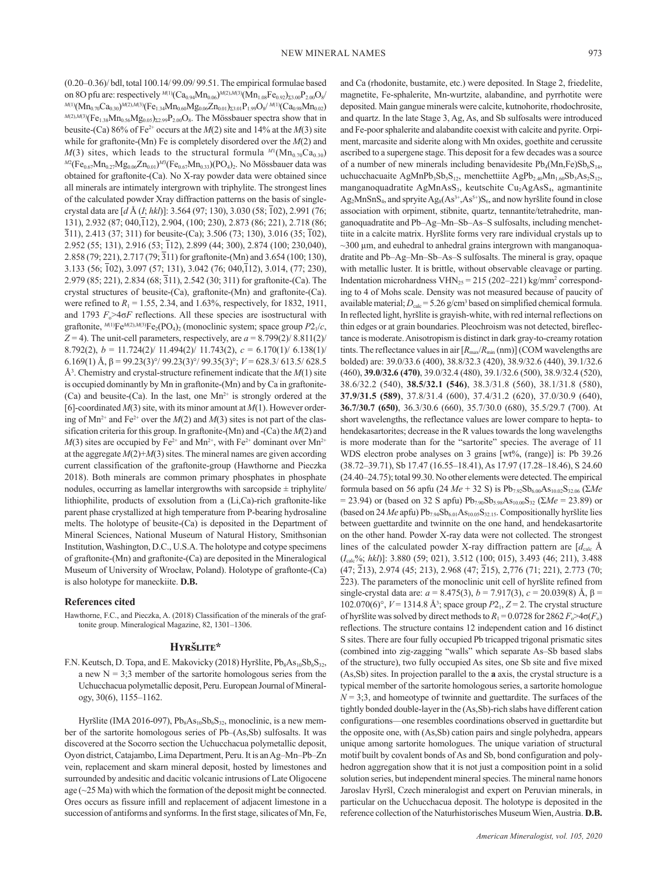(0.20–0.36)/ bdl, total 100.14/ 99.09/ 99.51. The empirical formulae based on 8O pfu are: respectively  $^{M(1)}(Ca_{0.94}Mn_{0.06})^{M(2),M(3)}(Mn_{1.08}Fe_{0.92})_{\Sigma3.00}P_{2.00}O_8/$ *M*(1)(Mn<sub>0.70</sub>Ca<sub>0.30</sub>)<sup>*M*(2),*M*(3)(Fe<sub>1.34</sub>Mn<sub>0.60</sub>Mg<sub>0.06</sub>Zn<sub>0.01</sub>)<sub>Σ3.01</sub>P<sub>1.99</sub>O<sub>8</sub>/<sup>*M*(1)</sup>(Ca<sub>0.98</sub>Mn<sub>0.02</sub>)</sup>  $^{M(2),M(3)}$ (Fe<sub>1.38</sub>Mn<sub>0.56</sub>Mg<sub>0.05</sub>)<sub>Σ2.99</sub>P<sub>2.00</sub>O<sub>8</sub>. The Mössbauer spectra show that in beusite-(Ca) 86% of Fe2+ occurs at the *M*(2) site and 14% at the *M*(3) site while for graftonite-(Mn) Fe is completely disordered over the *M*(2) and  $M(3)$  sites, which leads to the structural formula  $^{M_1}(\text{Mn}_{0.70}\text{Ca}_{0.30})$ <sup>*M2*</sup>(Fe<sub>0.67</sub>Mn<sub>0.27</sub>Mg<sub>0.06</sub>Zn<sub>0.01</sub>)<sup>*M3*</sup>(Fe<sub>0.67</sub>Mn<sub>0.33</sub>)(PO<sub>4</sub>)<sub>2</sub>. No Mössbauer data was obtained for graftonite-(Ca). No X-ray powder data were obtained since all minerals are intimately intergrown with triphylite. The strongest lines of the calculated powder Xray diffraction patterns on the basis of singlecrystal data are [*d* Å (*I*; *hkl*)]: 3.564 (97; 130), 3.030 (58; 102), 2.991 (76; 131), 2.932 (87; 040,112), 2.904, (100; 230), 2.873 (86; 221), 2.718 (86;  $\overline{3}11$ , 2.413 (37; 311) for beusite-(Ca); 3.506 (73; 130), 3.016 (35;  $\overline{1}02$ ), 2.952 (55; 131), 2.916 (53; 112), 2.899 (44; 300), 2.874 (100; 230,040), 2.858 (79; 221), 2.717 (79; 311) for graftonite-(Mn) and 3.654 (100; 130), 3.133 (56; 102), 3.097 (57; 131), 3.042 (76; 040,112), 3.014, (77; 230), 2.979 (85; 221), 2.834 (68; 311), 2.542 (30; 311) for graftonite-(Ca). The crystal structures of beusite-(Ca), graftonite-(Mn) and graftonite-(Ca). were refined to  $R_1 = 1.55$ , 2.34, and 1.63%, respectively, for 1832, 1911, and 1793  $F_0 > 4 \sigma F$  reflections. All these species are isostructural with graftonite,  $^{M(1)}Fe^{M(2),M(3)}Fe_2(PO_4)_2$  (monoclinic system; space group  $P2_1/c$ ,  $Z = 4$ ). The unit-cell parameters, respectively, are  $a = 8.799(2)/8.811(2)$ 8.792(2), *b* = 11.724(2)/ 11.494(2)/ 11.743(2), *c* = 6.170(1)/ 6.138(1)/ 6.169(1) Å, β = 99.23(3)°/ 99.23(3)°/ 99.35(3)°; *V* = 628.3/ 613.5/ 628.5 Å3 . Chemistry and crystal-structure refinement indicate that the *M*(1) site is occupied dominantly by Mn in graftonite-(Mn) and by Ca in graftonite- (Ca) and beusite-(Ca). In the last, one  $Mn^{2+}$  is strongly ordered at the [6]-coordinated *M*(3) site, with its minor amount at *M*(1). However ordering of  $Mn^{2+}$  and Fe<sup>2+</sup> over the  $M(2)$  and  $M(3)$  sites is not part of the classification criteria for this group. In graftonite-(Mn) and -(Ca) the *M*(2) and  $M(3)$  sites are occupied by Fe<sup>2+</sup> and Mn<sup>2+</sup>, with Fe<sup>2+</sup> dominant over Mn<sup>2+</sup> at the aggregate  $M(2) + M(3)$  sites. The mineral names are given according current classification of the graftonite-group (Hawthorne and Pieczka 2018). Both minerals are common primary phosphates in phosphate nodules, occurring as lamellar intergrowths with sarcopside  $\pm$  triphylite/ lithiophilite, products of exsolution from a (Li,Ca)-rich graftonite-like parent phase crystallized at high temperature from P-bearing hydrosaline melts. The holotype of beusite-(Ca) is deposited in the Department of Mineral Sciences, National Museum of Natural History, Smithsonian Institution, Washington, D.C., U.S.A. The holotype and cotype specimens of graftonite-(Mn) and graftonite-(Ca) are deposited in the Mineralogical Museum of University of Wrocław, Poland). Holotype of graftonte-(Ca) is also holotype for maneckiite. **D.B.**

## **References cited**

Hawthorne, F.C., and Pieczka, A. (2018) Classification of the minerals of the graftonite group. Mineralogical Magazine, 82, 1301–1306.

#### **Hyršlite\***

F.N. Keutsch, D. Topa, and E. Makovicky (2018) Hyršlite,  $Pb_8As_{10}Sb_6S_{32}$ , a new  $N = 3$ ; 3 member of the sartorite homologous series from the Uchucchacua polymetallic deposit, Peru. European Journal of Mineralogy, 30(6), 1155–1162.

Hyršlite (IMA 2016-097),  $Pb_8As_{10}Sb_6S_{32}$ , monoclinic, is a new member of the sartorite homologous series of Pb–(As,Sb) sulfosalts. It was discovered at the Socorro section the Uchucchacua polymetallic deposit, Oyon district, Catajambo, Lima Department, Peru. It is an Ag–Mn–Pb–Zn vein, replacement and skarn mineral deposit, hosted by limestones and surrounded by andesitic and dacitic volcanic intrusions of Late Oligocene age (~25 Ma) with which the formation of the deposit might be connected. Ores occurs as fissure infill and replacement of adjacent limestone in a succession of antiforms and synforms. In the first stage, silicates of Mn, Fe, and Ca (rhodonite, bustamite, etc.) were deposited. In Stage 2, friedelite, magnetite, Fe-sphalerite, Mn-wurtzite, alabandine, and pyrrhotite were deposited. Main gangue minerals were calcite, kutnohorite, rhodochrosite, and quartz. In the late Stage 3, Ag, As, and Sb sulfosalts were introduced and Fe-poor sphalerite and alabandite coexist with calcite and pyrite. Orpiment, marcasite and siderite along with Mn oxides, goethite and cerussite ascribed to a supergene stage. This deposit for a few decades was a source of a number of new minerals including benavidesite  $Pb_4(Mn,Fe)Sb_6S_{14}$ , uchucchacuaite AgMnPb<sub>3</sub>Sb<sub>5</sub>S<sub>12</sub>, menchettiite AgPb<sub>2.40</sub>Mn<sub>1.60</sub>Sb<sub>3</sub>As<sub>2</sub>S<sub>12</sub>, manganoquadratite AgMnAsS<sub>3</sub>, keutschite Cu<sub>2</sub>AgAsS<sub>4</sub>, agmantinite  $Ag_2MnSnS_4$ , and spryite  $Ag_8(As^{3+},As^{5+})S_6$ , and now hyršlite found in close association with orpiment, stibnite, quartz, tennantite/tetrahedrite, manganoquadratite and Pb–Ag–Mn–Sb–As–S sulfosalts, including menchettiite in a calcite matrix. Hyršlite forms very rare individual crystals up to  $\sim$ 300  $\mu$ m, and euhedral to anhedral grains intergrown with manganoquadratite and Pb–Ag–Mn–Sb–As–S sulfosalts. The mineral is gray, opaque with metallic luster. It is brittle, without observable cleavage or parting. Indentation microhardness  $VHN_{25} = 215 (202 - 221)$  kg/mm<sup>2</sup> corresponding to 4 of Mohs scale. Density was not measured because of paucity of available material;  $D_{\text{calc}} = 5.26 \text{ g/cm}^3$  based on simplified chemical formula. In reflected light, hyršlite is grayish-white, with red internal reflections on thin edges or at grain boundaries. Pleochroism was not detected, bireflectance is moderate. Anisotropism is distinct in dark gray-to-creamy rotation tints. The reflectance values in air  $[R_{\text{max}}/R_{\text{min}} (\text{nm})]$  (COM wavelengths are bolded) are: 39.0/33.6 (400), 38.8/32.3 (420), 38.9/32.6 (440), 39.1/32.6 (460), **39.0/32.6 (470)**, 39.0/32.4 (480), 39.1/32.6 (500), 38.9/32.4 (520), 38.6/32.2 (540), **38.5/32.1 (546)**, 38.3/31.8 (560), 38.1/31.8 (580), **37.9/31.5 (589)**, 37.8/31.4 (600), 37.4/31.2 (620), 37.0/30.9 (640), **36.7/30.7 (650)**, 36.3/30.6 (660), 35.7/30.0 (680), 35.5/29.7 (700). At short wavelengths, the reflectance values are lower compare to hepta- to hendekasartorites; decrease in the R values towards the long wavelengths is more moderate than for the "sartorite" species. The average of 11 WDS electron probe analyses on 3 grains [wt%, (range)] is: Pb 39.26 (38.72–39.71), Sb 17.47 (16.55–18.41), As 17.97 (17.28–18.46), S 24.60 (24.40–24.75); total 99.30. No other elements were detected. The empirical formula based on 56 apfu (24  $Me + 32$  S) is  $Pb_{7.92}Sb_{6.00}As_{10.02}S_{32.06}$  ( $\Sigma Me$  $= 23.94$ ) or (based on 32 S apfu) Pb<sub>7.90</sub>Sb<sub>5.98</sub>As<sub>10.00</sub>S<sub>32</sub> ( $\Sigma Me = 23.89$ ) or (based on 24  $Me$  apfu)  $Pb_{7.94}Sb_{6.01}As_{10.05}S_{32.15}$ . Compositionally hyršlite lies between guettardite and twinnite on the one hand, and hendekasartorite on the other hand. Powder X-ray data were not collected. The strongest lines of the calculated powder X-ray diffraction pattern are  $[d_{\text{calc}} \, \text{\AA}$ (*I*calc%; *hkl*)]: 3.880 (59; 021), 3.512 (100; 015), 3.493 (46; 211), 3.488 (47; 213), 2.974 (45; 213), 2.968 (47; 215), 2,776 (71; 221), 2.773 (70;  $\overline{2}23$ ). The parameters of the monoclinic unit cell of hyršlite refined from single-crystal data are:  $a = 8.475(3)$ ,  $b = 7.917(3)$ ,  $c = 20.039(8)$  Å,  $\beta =$ 102.070(6)°,  $V = 1314.8 \text{ Å}^3$ ; space group  $P2_1$ ,  $Z = 2$ . The crystal structure of hyršlite was solved by direct methods to  $R_1 = 0.0728$  for  $2862 F_0 > 4\sigma(F_0)$ reflections. The structure contains 12 independent cation and 16 distinct S sites. There are four fully occupied Pb tricapped trigonal prismatic sites (combined into zig-zagging "walls" which separate As–Sb based slabs of the structure), two fully occupied As sites, one Sb site and five mixed (As,Sb) sites. In projection parallel to the **a** axis, the crystal structure is a typical member of the sartorite homologous series, a sartorite homologue  $N = 3,3$ , and homeotype of twinnite and guettardite. The surfaces of the tightly bonded double-layer in the (As,Sb)-rich slabs have different cation configurations—one resembles coordinations observed in guettardite but the opposite one, with (As,Sb) cation pairs and single polyhedra, appears unique among sartorite homologues. The unique variation of structural motif built by covalent bonds of As and Sb, bond configuration and polyhedron aggregation show that it is not just a composition point in a solid solution series, but independent mineral species. The mineral name honors Jaroslav Hyršl, Czech mineralogist and expert on Peruvian minerals, in particular on the Uchucchacua deposit. The holotype is deposited in the reference collection of the Naturhistorisches Museum Wien, Austria. **D.B.**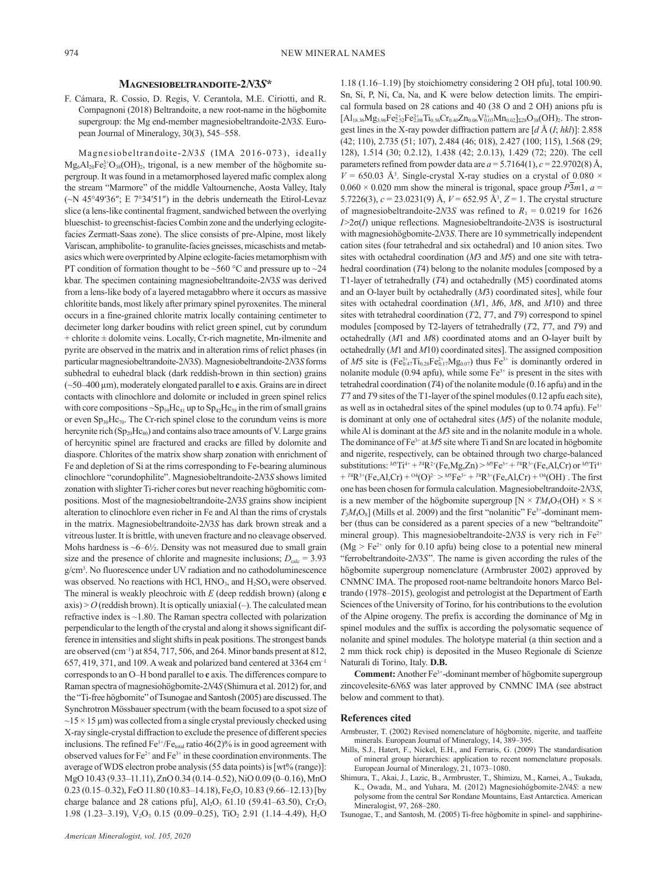#### **Magnesiobeltrandoite-2***N***3***S***\***

F. Cámara, R. Cossio, D. Regis, V. Cerantola, M.E. Ciriotti, and R. Compagnoni (2018) Beltrandoite, a new root-name in the högbomite supergroup: the Mg end-member magnesiobeltrandoite-2*N*3*S*. European Journal of Mineralogy, 30(3), 545–558.

Magnesiobeltrandoite-2*N*3*S* (IMA 2016-073), ideally  $Mg_6Al_{20}Fe_2^{3+}O_{38}(OH)_2$ , trigonal, is a new member of the högbomite supergroup. It was found in a metamorphosed layered mafic complex along the stream "Marmore" of the middle Valtournenche, Aosta Valley, Italy (~N 45°49′36″; E 7°34′51″) in the debris underneath the Etirol-Levaz slice (a lens-like continental fragment, sandwiched between the overlying blueschist- to greenschist-facies Combin zone and the underlying eclogitefacies Zermatt-Saas zone). The slice consists of pre-Alpine, most likely Variscan, amphibolite- to granulite-facies gneisses, micaschists and metabasics which were overprinted by Alpine eclogite-facies metamorphism with PT condition of formation thought to be ~560  $^{\circ}$ C and pressure up to ~24 kbar. The specimen containing magnesiobeltrandoite-2*N*3*S* was derived from a lens-like body of a layered metagabbro where it occurs as massive chloritite bands, most likely after primary spinel pyroxenites. The mineral occurs in a fine-grained chlorite matrix locally containing centimeter to decimeter long darker boudins with relict green spinel, cut by corundum + chlorite ± dolomite veins. Locally, Cr-rich magnetite, Mn-ilmenite and pyrite are observed in the matrix and in alteration rims of relict phases (in particular magnesiobeltrandoite-2*N*3*S*). Magnesiobeltrandoite-2*N*3*S* forms subhedral to euhedral black (dark reddish-brown in thin section) grains (~50–400 µm), moderately elongated parallel to **c** axis. Grains are in direct contacts with clinochlore and dolomite or included in green spinel relics with core compositions  $\sim$ Sp<sub>59</sub>Hc<sub>41</sub> up to Sp<sub>42</sub>Hc<sub>58</sub> in the rim of small grains or even  $Sp_{30}He_{70}$ . The Cr-rich spinel close to the corundum veins is more hercynite rich  $(Sp_{20}Hc_{80})$  and contains also trace amounts of V. Large grains of hercynitic spinel are fractured and cracks are filled by dolomite and diaspore. Chlorites of the matrix show sharp zonation with enrichment of Fe and depletion of Si at the rims corresponding to Fe-bearing aluminous clinochlore "corundophilite". Magnesiobeltrandoite-2*N*3*S* shows limited zonation with slighter Ti-richer cores but never reaching högbomitic compositions. Most of the magnesiobeltrandoite-2*N*3*S* grains show incipient alteration to clinochlore even richer in Fe and Al than the rims of crystals in the matrix. Magnesiobeltrandoite-2*N*3*S* has dark brown streak and a vitreous luster. It is brittle, with uneven fracture and no cleavage observed. Mohs hardness is  $\sim 6-6\frac{1}{2}$ . Density was not measured due to small grain size and the presence of chlorite and magnesite inclusions;  $D_{\text{calc}} = 3.93$ g/cm3 . No fluorescence under UV radiation and no cathodoluminescence was observed. No reactions with HCl,  $HNO<sub>3</sub>$ , and  $H<sub>2</sub>SO<sub>4</sub>$  were observed. The mineral is weakly pleochroic with *E* (deep reddish brown) (along **c** axis) > *O* (reddish brown). It is optically uniaxial (–). The calculated mean refractive index is ~1.80. The Raman spectra collected with polarization perpendicular to the length of the crystal and along it shows significant difference in intensities and slight shifts in peak positions. The strongest bands are observed  $(cm^{-1})$  at 854, 717, 506, and 264. Minor bands present at 812,  $657, 419, 371,$  and 109. A weak and polarized band centered at 3364 cm<sup>-1</sup> corresponds to an O–H bond parallel to **c** axis. The differences compare to Raman spectra of magnesiohögbomite-2*N*4*S* (Shimura et al. 2012) for, and the "Ti-free högbomite" of Tsunogae and Santosh (2005) are discussed. The Synchrotron Mössbauer spectrum (with the beam focused to a spot size of  $\sim$ 15  $\times$  15  $\mu$ m) was collected from a single crystal previously checked using X-ray single-crystal diffraction to exclude the presence of different species inclusions. The refined  $Fe^{3+}/Fe_{total}$  ratio 46(2)% is in good agreement with observed values for  $Fe^{2+}$  and  $Fe^{3+}$  in these coordination environments. The average of WDS electron probe analysis (55 data points) is [wt% (range)]: MgO 10.43 (9.33–11.11), ZnO 0.34 (0.14–0.52), NiO 0.09 (0–0.16), MnO 0.23 (0.15–0.32), FeO 11.80 (10.83–14.18), Fe<sub>2</sub>O<sub>3</sub> 10.83 (9.66–12.13) [by charge balance and 28 cations pfu],  $Al_2O_3$  61.10 (59.41–63.50),  $Cr_2O_3$ 1.98 (1.23–3.19),  $V_2O_3$  0.15 (0.09–0.25), TiO<sub>2</sub> 2.91 (1.14–4.49), H<sub>2</sub>O

1.18 (1.16–1.19) [by stoichiometry considering 2 OH pfu], total 100.90. Sn, Si, P, Ni, Ca, Na, and K were below detection limits. The empirical formula based on 28 cations and 40 (38 O and 2 OH) anions pfu is  $[A]_{18.36}M_{93.96}Fe_{2.52}^{2+}Fe_{2.08}^{3+}Ti_{0.56}Cr_{0.40}Zn_{0.06}V_{0.03}^{3+}Mn_{0.02}]_{228}O_{38}(OH)_{2}$ . The strongest lines in the X-ray powder diffraction pattern are [*d* Å (*I*; *hkl*)]: 2.858 (42; 110), 2.735 (51; 107), 2.484 (46; 018), 2.427 (100; 115), 1.568 (29; 128), 1.514 (30; 0.2.12), 1.438 (42; 2.0.13), 1.429 (72; 220). The cell parameters refined from powder data are  $a = 5.7164(1)$ ,  $c = 22.9702(8)$  Å,  $V = 650.03$  Å<sup>3</sup>. Single-crystal X-ray studies on a crystal of 0.080  $\times$  $0.060 \times 0.020$  mm show the mineral is trigonal, space group  $\overline{P3}m1$ ,  $a =$ 5.7226(3), *c* = 23.0231(9) Å, *V* = 652.95 Å<sup>3</sup> , *Z* = 1. The crystal structure of magnesiobeltrandoite-2*N*3*S* was refined to  $R_1 = 0.0219$  for 1626 *I*>2σ(*I*) unique reflections. Magnesiobeltrandoite-2*N*3S is isostructural with magnesiohögbomite-2*N*3*S*. There are 10 symmetrically independent cation sites (four tetrahedral and six octahedral) and 10 anion sites. Two sites with octahedral coordination (*M*3 and *M*5) and one site with tetrahedral coordination (*T*4) belong to the nolanite modules [composed by a T1-layer of tetrahedrally (*T*4) and octahedrally (M5) coordinated atoms and an O-layer built by octahedrally (*M*3) coordinated sites], while four sites with octahedral coordination (*M*1, *M*6, *M*8, and *M*10) and three sites with tetrahedral coordination (*T*2, *T*7, and *T*9) correspond to spinel modules [composed by T2-layers of tetrahedrally (*T*2, *T*7, and *T*9) and octahedrally (*M*1 and *M*8) coordinated atoms and an O-layer built by octahedrally (*M*1 and *M*10) coordinated sites]. The assigned composition of *M*5 site is  $(Fe_{0.47}^{3+}Ti_{0.28}Fe_{0.17}^{2+}Mg_{0.07})$  thus  $Fe^{3+}$  is dominantly ordered in nolanite module (0.94 apfu), while some  $Fe<sup>3+</sup>$  is present in the sites with tetrahedral coordination (*T*4) of the nolanite module (0.16 apfu) and in the *T*7 and *T*9 sites of the T1-layer of the spinel modules (0.12 apfu each site), as well as in octahedral sites of the spinel modules (up to  $0.74$  apfu). Fe<sup>3+</sup> is dominant at only one of octahedral sites (*M*5) of the nolanite module, while Al is dominant at the *M*3 site and in the nolanite module in a whole. The dominance of Fe<sup>3+</sup> at *M*5 site where Ti and Sn are located in högbomite and nigerite, respectively, can be obtained through two charge-balanced substitutions:  $^{M5}\text{Ti}^{4+} + {}^{74}\text{R}^{2+}(\text{Fe},\text{Mg},\text{Zn}) > {}^{M5}\text{Fe}^{3+} + {}^{74}\text{R}^{3+}(\text{Fe},\text{Al},\text{Cr})$  or  $^{M5}\text{Ti}^{4+}$ + <sup>*T*4</sup>R<sup>3+</sup>(Fe,Al,Cr) + <sup>04</sup>(O)<sup>2-</sup> > <sup>M5</sup>Fe<sup>3+</sup> + <sup>*T*4</sup>R<sup>3+</sup>(Fe,Al,Cr) + <sup>04</sup>(OH)<sup>-</sup>. The first one has been chosen for formula calculation. Magnesiobeltrandoite-2*N*3*S*, is a new member of the högbomite supergroup  $[N \times TM_4O_7(OH) \times S \times$  $T_2M_4O_8$ ] (Mills et al. 2009) and the first "nolanitic" Fe<sup>3+</sup>-dominant member (thus can be considered as a parent species of a new "beltrandoite" mineral group). This magnesiobeltrandoite- $2N3S$  is very rich in Fe<sup>2+</sup> ( $Mg > Fe^{2+}$  only for 0.10 apfu) being close to a potential new mineral "ferrobeltrandoite-2*N*3*S*". The name is given according the rules of the högbomite supergroup nomenclature (Armbruster 2002) approved by CNMNC IMA. The proposed root-name beltrandoite honors Marco Beltrando (1978–2015), geologist and petrologist at the Department of Earth Sciences of the University of Torino, for his contributions to the evolution of the Alpine orogeny. The prefix is according the dominance of Mg in spinel modules and the suffix is according the polysomatic sequence of nolanite and spinel modules. The holotype material (a thin section and a 2 mm thick rock chip) is deposited in the Museo Regionale di Scienze Naturali di Torino, Italy. **D.B.**

**Comment:** Another Fe3+-dominant member of högbomite supergroup zincovelesite-6*N*6*S* was later approved by CNMNC IMA (see abstract below and comment to that).

#### **References cited**

- Armbruster, T. (2002) Revised nomenclature of högbomite, nigerite, and taaffeite minerals. European Journal of Mineralogy, 14, 389–395.
- Mills, S.J., Hatert, F., Nickel, E.H., and Ferraris, G. (2009) The standardisation of mineral group hierarchies: application to recent nomenclature proposals. European Journal of Mineralogy, 21, 1073–1080.
- Shimura, T., Akai, J., Lazic, B., Armbruster, T., Shimizu, M., Kamei, A., Tsukada, K., Owada, M., and Yuhara, M. (2012) Magnesiohögbomite-2*N*4*S*: a new polysome from the central Sør Rondane Mountains, East Antarctica. American Mineralogist, 97, 268–280.
- Tsunogae, T., and Santosh, M. (2005) Ti-free högbomite in spinel- and sapphirine-